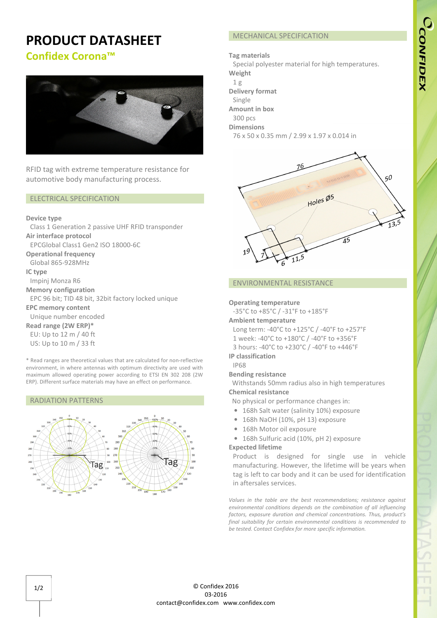# CCONFIDEX

# **PRODUCT DATASHEET**

**Confidex Corona™** 



RFID tag with extreme temperature resistance for automotive body manufacturing process.

#### ELECTRICAL SPECIFICATION

#### **Device type**

Class 1 Generation 2 passive UHF RFID transponder **Air interface protocol**  EPCGlobal Class1 Gen2 ISO 18000-6C **Operational frequency** Global 865-928MHz **IC type**  Impinj Monza R6 **Memory configuration**  EPC 96 bit; TID 48 bit, 32bit factory locked unique **EPC memory content** Unique number encoded **Read range (2W ERP)\*** EU: Up to 12 m / 40 ft US: Up to 10 m / 33 ft

\* Read ranges are theoretical values that are calculated for non-reflective environment, in where antennas with optimum directivity are used with maximum allowed operating power according to ETSI EN 302 208 (2W ERP). Different surface materials may have an effect on performance.

#### RADIATION PATTERNS



# MECHANICAL SPECIFICATION

**Tag materials** Special polyester material for high temperatures. **Weight** 1 g **Delivery format** Single **Amount in box** 300 pcs **Dimensions**  76 x 50 x 0.35 mm / 2.99 x 1.97 x 0.014 in



#### ENVIRONMENTAL RESISTANCE

#### **Operating temperature**

-35°C to +85°C / -31°F to +185°F

#### **Ambient temperature**

Long term: -40°C to +125°C / -40°F to +257°F

- 1 week: -40°C to +180°C / -40°F to +356°F
- 3 hours: -40°C to +230°C / -40°F to +446°F

#### **IP classification**

IP68

**Bending resistance** 

Withstands 50mm radius also in high temperatures **Chemical resistance** 

No physical or performance changes in:

- 168h Salt water (salinity 10%) exposure
- 168h NaOH (10%, pH 13) exposure
- 168h Motor oil exposure
- 168h Sulfuric acid (10%, pH 2) exposure

#### **Expected lifetime**

Product is designed for single use in vehicle manufacturing. However, the lifetime will be years when tag is left to car body and it can be used for identification in aftersales services.

*Values in the table are the best recommendations; resistance against environmental conditions depends on the combination of all influencing factors, exposure duration and chemical concentrations. Thus, product's final suitability for certain environmental conditions is recommended to be tested. Contact Confidex for more specific information.*